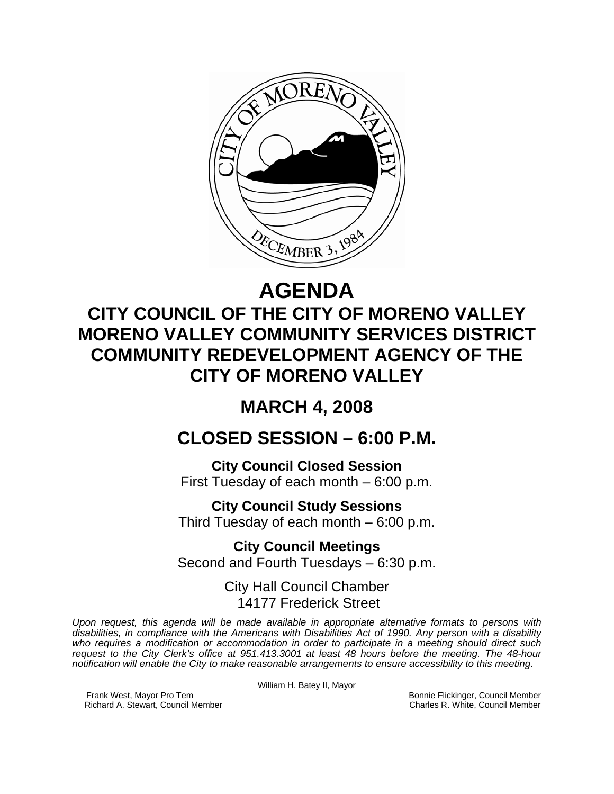

# **AGENDA**

## **CITY COUNCIL OF THE CITY OF MORENO VALLEY MORENO VALLEY COMMUNITY SERVICES DISTRICT COMMUNITY REDEVELOPMENT AGENCY OF THE CITY OF MORENO VALLEY**

## **MARCH 4, 2008**

### **CLOSED SESSION – 6:00 P.M.**

**City Council Closed Session**  First Tuesday of each month – 6:00 p.m.

**City Council Study Sessions**  Third Tuesday of each month – 6:00 p.m.

**City Council Meetings**  Second and Fourth Tuesdays – 6:30 p.m.

> City Hall Council Chamber 14177 Frederick Street

*Upon request, this agenda will be made available in appropriate alternative formats to persons with disabilities, in compliance with the Americans with Disabilities Act of 1990. Any person with a disability who requires a modification or accommodation in order to participate in a meeting should direct such request to the City Clerk's office at 951.413.3001 at least 48 hours before the meeting. The 48-hour notification will enable the City to make reasonable arrangements to ensure accessibility to this meeting.* 

William H. Batey II, Mayor

Frank West, Mayor Pro Tem Bonnie Flickinger, Council Member<br>Richard A. Stewart, Council Member **Bonnie Flickinger, Council Member** Charles R. White, Council Member Richard A. Stewart, Council Member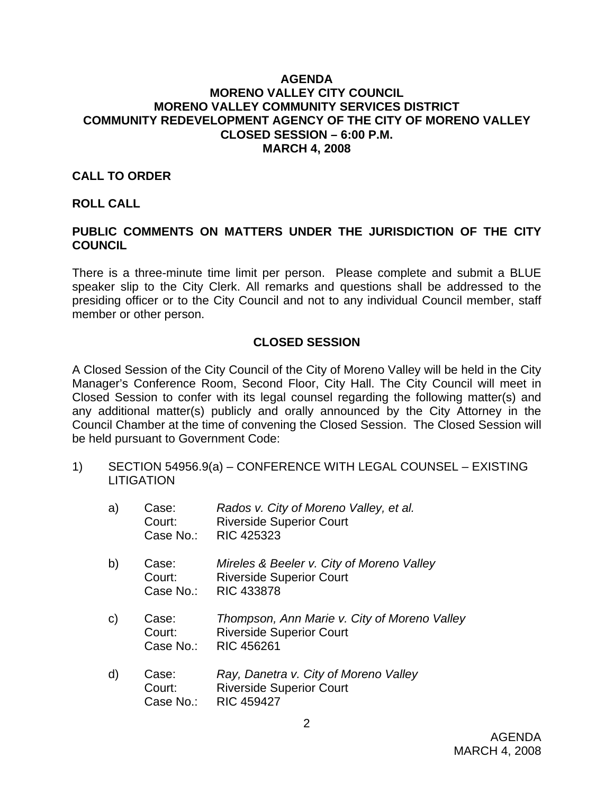#### **AGENDA MORENO VALLEY CITY COUNCIL MORENO VALLEY COMMUNITY SERVICES DISTRICT COMMUNITY REDEVELOPMENT AGENCY OF THE CITY OF MORENO VALLEY CLOSED SESSION – 6:00 P.M. MARCH 4, 2008**

#### **CALL TO ORDER**

#### **ROLL CALL**

#### **PUBLIC COMMENTS ON MATTERS UNDER THE JURISDICTION OF THE CITY COUNCIL**

There is a three-minute time limit per person. Please complete and submit a BLUE speaker slip to the City Clerk. All remarks and questions shall be addressed to the presiding officer or to the City Council and not to any individual Council member, staff member or other person.

#### **CLOSED SESSION**

A Closed Session of the City Council of the City of Moreno Valley will be held in the City Manager's Conference Room, Second Floor, City Hall. The City Council will meet in Closed Session to confer with its legal counsel regarding the following matter(s) and any additional matter(s) publicly and orally announced by the City Attorney in the Council Chamber at the time of convening the Closed Session. The Closed Session will be held pursuant to Government Code:

1) SECTION 54956.9(a) – CONFERENCE WITH LEGAL COUNSEL – EXISTING **LITIGATION** 

| a)           | Case:<br>Court:<br>Case No.: | Rados v. City of Moreno Valley, et al.<br><b>Riverside Superior Court</b><br><b>RIC 425323</b>       |
|--------------|------------------------------|------------------------------------------------------------------------------------------------------|
| b)           | Case:<br>Court:<br>Case No.: | Mireles & Beeler v. City of Moreno Valley<br><b>Riverside Superior Court</b><br><b>RIC 433878</b>    |
| $\mathsf{C}$ | Case:<br>Court:<br>Case No.: | Thompson, Ann Marie v. City of Moreno Valley<br><b>Riverside Superior Court</b><br><b>RIC 456261</b> |
| $\mathsf{d}$ | Case:<br>Court:<br>Case No.: | Ray, Danetra v. City of Moreno Valley<br><b>Riverside Superior Court</b><br><b>RIC 459427</b>        |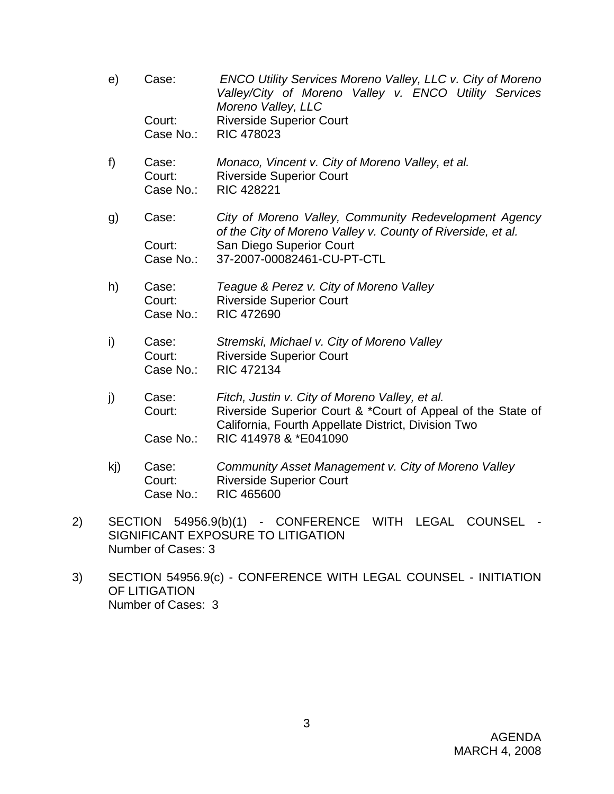- e) Case: *ENCO Utility Services Moreno Valley, LLC v. City of Moreno Valley/City of Moreno Valley v. ENCO Utility Services Moreno Valley, LLC* Court: Riverside Superior Court Case No.: RIC 478023
- f) Case: *Monaco, Vincent v. City of Moreno Valley, et al.*  Court: Riverside Superior Court Case No.: RIC 428221
- g) Case: *City of Moreno Valley, Community Redevelopment Agency of the City of Moreno Valley v. County of Riverside, et al.*  Court: San Diego Superior Court Case No.: 37-2007-00082461-CU-PT-CTL
- h) Case: *Teague & Perez v. City of Moreno Valley*  Court: Riverside Superior Court Case No.: RIC 472690
- i) Case: *Stremski, Michael v. City of Moreno Valley* Court: Riverside Superior Court Case No.: RIC 472134
- j) Case: *Fitch, Justin v. City of Moreno Valley, et al.*  Court: Riverside Superior Court & \*Court of Appeal of the State of California, Fourth Appellate District, Division Two Case No.: RIC 414978 & \*E041090
- kj) Case: *Community Asset Management v. City of Moreno Valley*  Court: Riverside Superior Court Case No.: RIC 465600
- 2) SECTION 54956.9(b)(1) CONFERENCE WITH LEGAL COUNSEL SIGNIFICANT EXPOSURE TO LITIGATION Number of Cases: 3
- 3) SECTION 54956.9(c) CONFERENCE WITH LEGAL COUNSEL INITIATION OF LITIGATION Number of Cases: 3